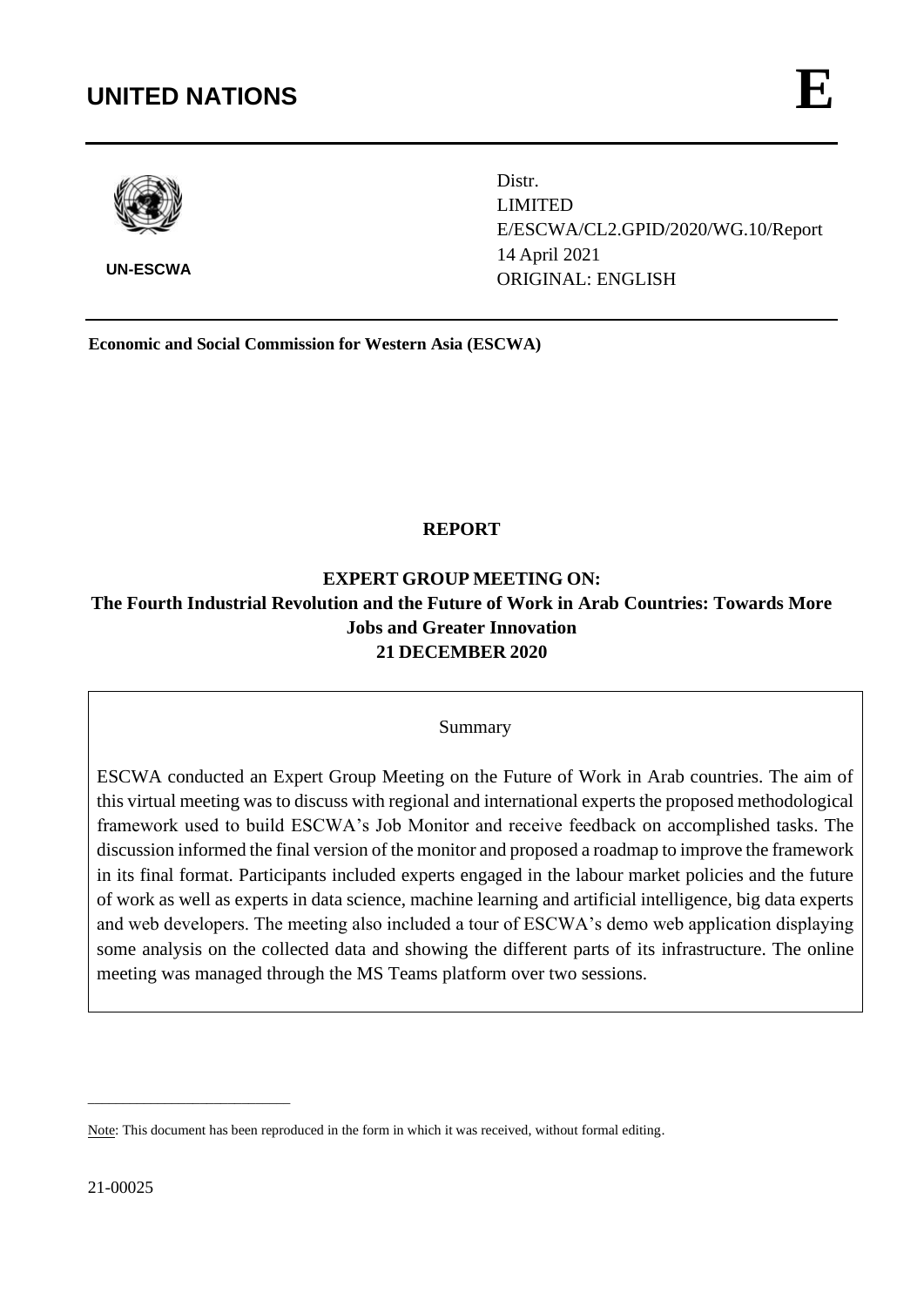# **UNITED NATIONS**

**UN-**



**UN-ESCWA**

Distr. LIMITED E/ESCWA/CL2.GPID/2020/WG.10/Report 14 April 2021 ORIGINAL: ENGLISH port

**Economic and Social Commission for Western Asia (ESCWA)**

# **REPORT**

# **EXPERT GROUP MEETING ON: The Fourth Industrial Revolution and the Future of Work in Arab Countries: Towards More Jobs and Greater Innovation 21 DECEMBER 2020**

## Summary

ESCWA conducted an Expert Group Meeting on the Future of Work in Arab countries. The aim of this virtual meeting was to discuss with regional and international experts the proposed methodological framework used to build ESCWA's Job Monitor and receive feedback on accomplished tasks. The discussion informed the final version of the monitor and proposed a roadmap to improve the framework in its final format. Participants included experts engaged in the labour market policies and the future of work as well as experts in data science, machine learning and artificial intelligence, big data experts and web developers. The meeting also included a tour of ESCWA's demo web application displaying some analysis on the collected data and showing the different parts of its infrastructure. The online meeting was managed through the MS Teams platform over two sessions.

\_\_\_\_\_\_\_\_\_\_\_\_\_\_\_\_\_\_\_\_\_\_\_\_\_\_\_\_\_

Note: This document has been reproduced in the form in which it was received, without formal editing.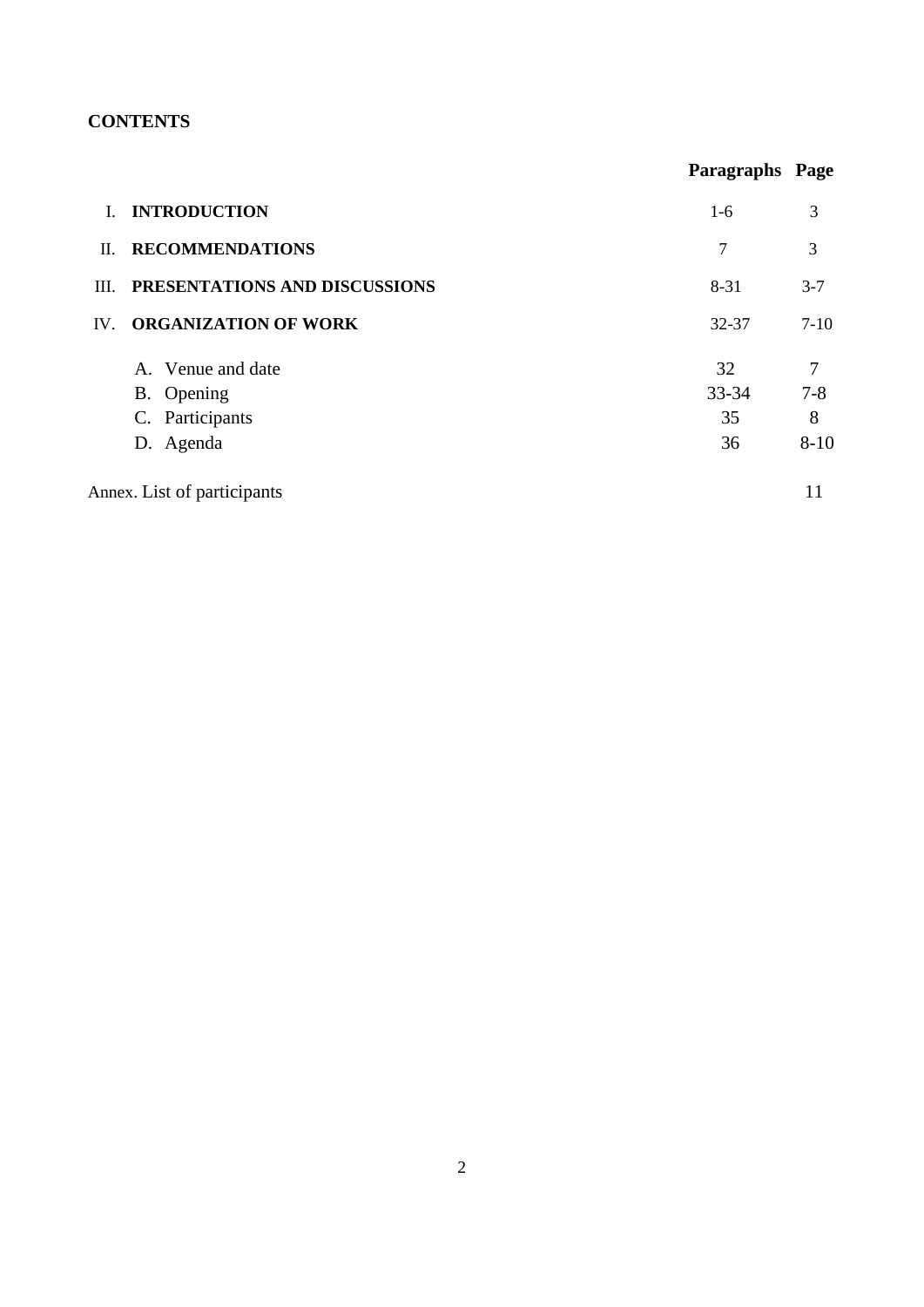# **CONTENTS**

|          |                               | Paragraphs Page |                |
|----------|-------------------------------|-----------------|----------------|
|          | <b>INTRODUCTION</b>           | $1-6$           | 3              |
| П.       | <b>RECOMMENDATIONS</b>        | 7               | 3              |
| III.     | PRESENTATIONS AND DISCUSSIONS | 8-31            | $3 - 7$        |
| $IV_{-}$ | <b>ORGANIZATION OF WORK</b>   | $32 - 37$       | $7-10$         |
|          | A. Venue and date             | 32              | $\overline{7}$ |
|          | B. Opening                    | $33 - 34$       | $7 - 8$        |
|          | C. Participants               | 35              | 8              |
|          | D. Agenda                     | 36              | $8 - 10$       |
|          | Annex. List of participants   |                 | 11             |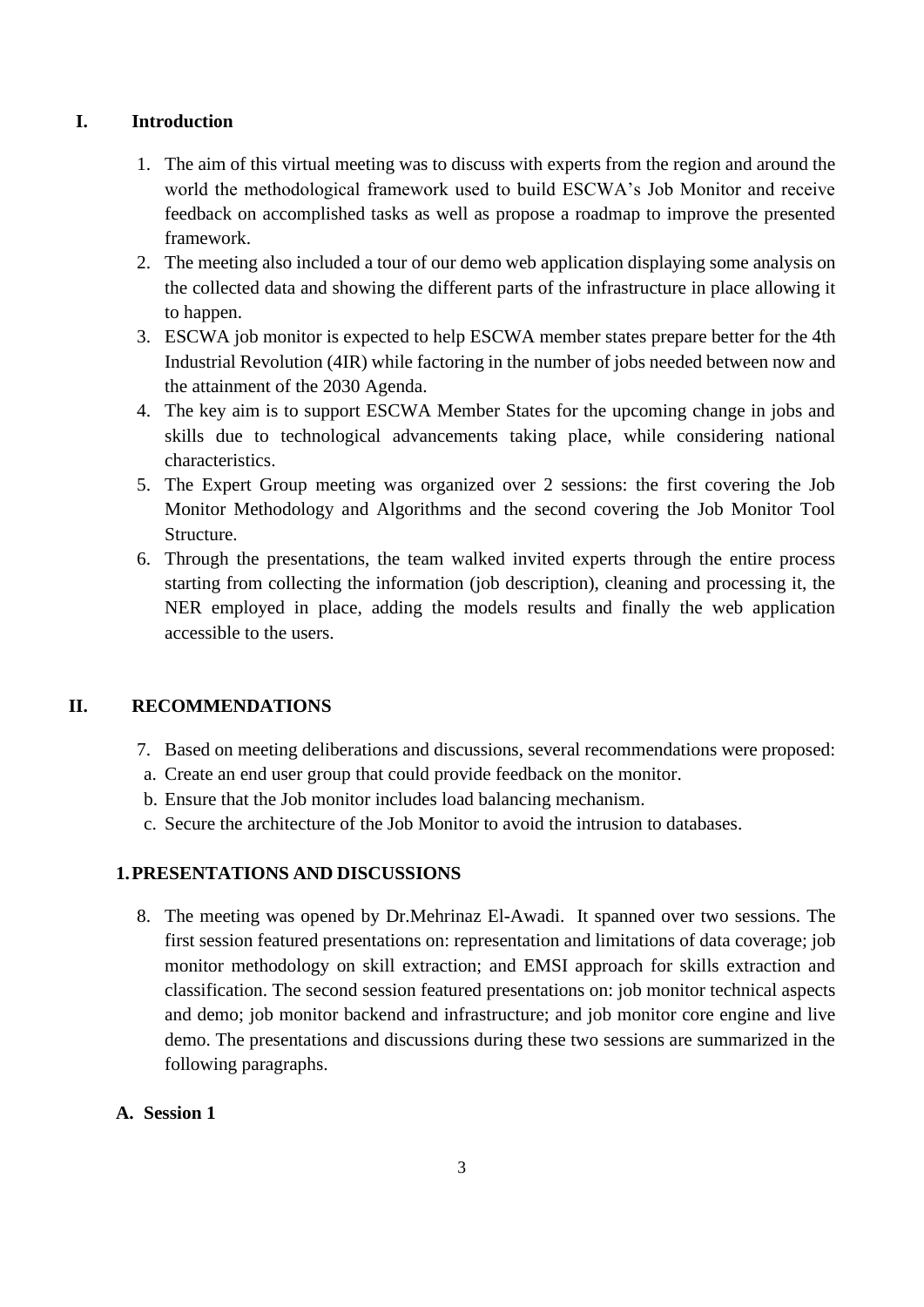# <span id="page-2-0"></span>**I. Introduction**

- 1. The aim of this virtual meeting was to discuss with experts from the region and around the world the methodological framework used to build ESCWA's Job Monitor and receive feedback on accomplished tasks as well as propose a roadmap to improve the presented framework.
- 2. The meeting also included a tour of our demo web application displaying some analysis on the collected data and showing the different parts of the infrastructure in place allowing it to happen.
- 3. ESCWA job monitor is expected to help ESCWA member states prepare better for the 4th Industrial Revolution (4IR) while factoring in the number of jobs needed between now and the attainment of the 2030 Agenda.
- 4. The key aim is to support ESCWA Member States for the upcoming change in jobs and skills due to technological advancements taking place, while considering national characteristics.
- 5. The Expert Group meeting was organized over 2 sessions: the first covering the Job Monitor Methodology and Algorithms and the second covering the Job Monitor Tool Structure.
- 6. Through the presentations, the team walked invited experts through the entire process starting from collecting the information (job description), cleaning and processing it, the NER employed in place, adding the models results and finally the web application accessible to the users.

# <span id="page-2-1"></span>**II. RECOMMENDATIONS**

- 7. Based on meeting deliberations and discussions, several recommendations were proposed:
- a. Create an end user group that could provide feedback on the monitor.
- b. Ensure that the Job monitor includes load balancing mechanism.
- c. Secure the architecture of the Job Monitor to avoid the intrusion to databases.

# <span id="page-2-2"></span>**1.PRESENTATIONS AND DISCUSSIONS**

8. The meeting was opened by Dr.Mehrinaz El-Awadi. It spanned over two sessions. The first session featured presentations on: representation and limitations of data coverage; job monitor methodology on skill extraction; and EMSI approach for skills extraction and classification. The second session featured presentations on: job monitor technical aspects and demo; job monitor backend and infrastructure; and job monitor core engine and live demo. The presentations and discussions during these two sessions are summarized in the following paragraphs.

# **A. Session 1**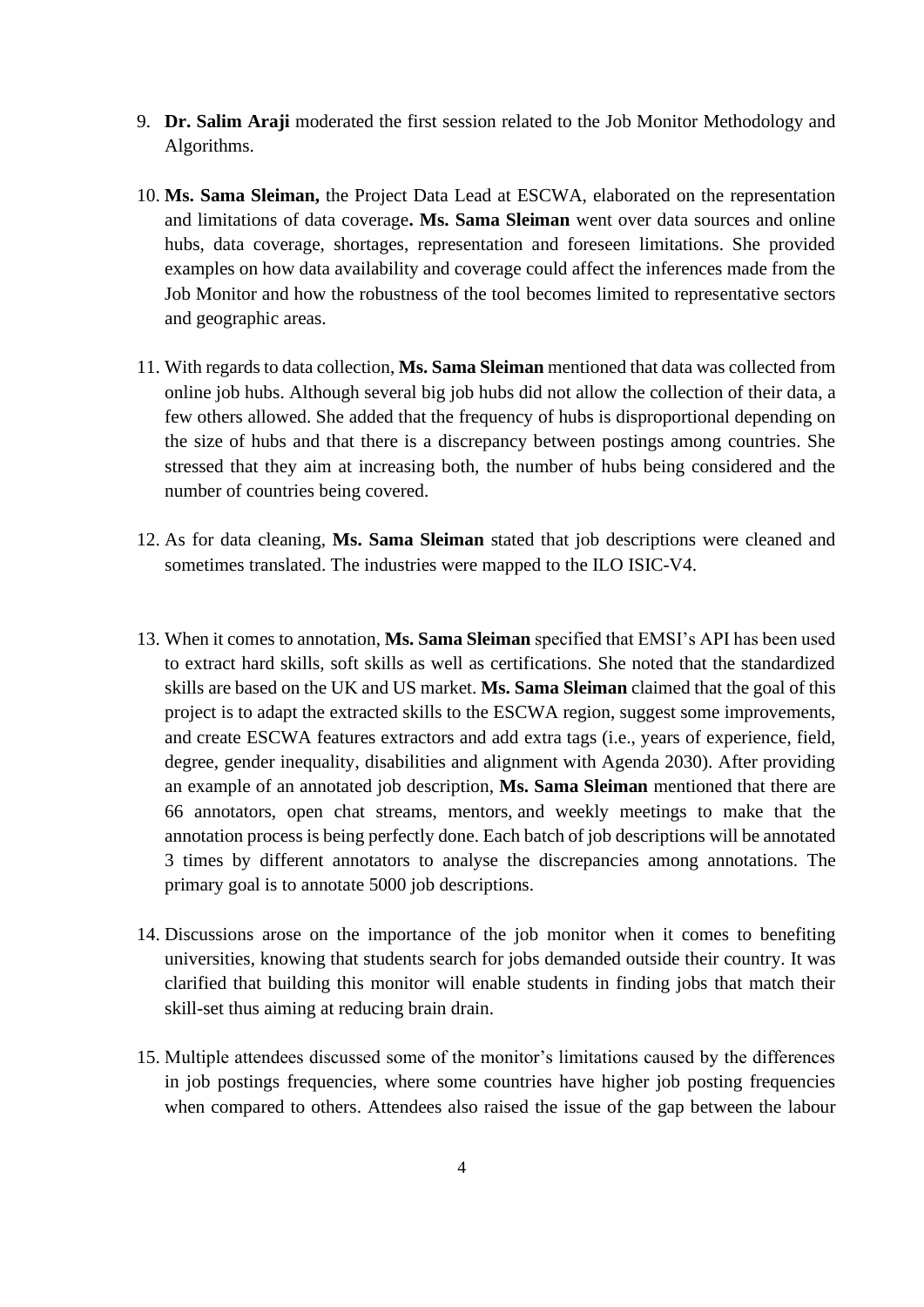- 9. **Dr. Salim Araji** moderated the first session related to the Job Monitor Methodology and Algorithms.
- 10. **Ms. Sama Sleiman,** the Project Data Lead at ESCWA, elaborated on the representation and limitations of data coverage**. Ms. Sama Sleiman** went over data sources and online hubs, data coverage, shortages, representation and foreseen limitations. She provided examples on how data availability and coverage could affect the inferences made from the Job Monitor and how the robustness of the tool becomes limited to representative sectors and geographic areas.
- 11. With regards to data collection, **Ms. Sama Sleiman** mentioned that data was collected from online job hubs. Although several big job hubs did not allow the collection of their data, a few others allowed. She added that the frequency of hubs is disproportional depending on the size of hubs and that there is a discrepancy between postings among countries. She stressed that they aim at increasing both, the number of hubs being considered and the number of countries being covered.
- 12. As for data cleaning, **Ms. Sama Sleiman** stated that job descriptions were cleaned and sometimes translated. The industries were mapped to the ILO ISIC-V4.
- 13. When it comes to annotation, **Ms. Sama Sleiman** specified that EMSI's API has been used to extract hard skills, soft skills as well as certifications. She noted that the standardized skills are based on the UK and US market. **Ms. Sama Sleiman** claimed that the goal of this project is to adapt the extracted skills to the ESCWA region, suggest some improvements, and create ESCWA features extractors and add extra tags (i.e., years of experience, field, degree, gender inequality, disabilities and alignment with Agenda 2030). After providing an example of an annotated job description, **Ms. Sama Sleiman** mentioned that there are 66 annotators, open chat streams, mentors, and weekly meetings to make that the annotation process is being perfectly done. Each batch of job descriptions will be annotated 3 times by different annotators to analyse the discrepancies among annotations. The primary goal is to annotate 5000 job descriptions.
- 14. Discussions arose on the importance of the job monitor when it comes to benefiting universities, knowing that students search for jobs demanded outside their country. It was clarified that building this monitor will enable students in finding jobs that match their skill-set thus aiming at reducing brain drain.
- 15. Multiple attendees discussed some of the monitor's limitations caused by the differences in job postings frequencies, where some countries have higher job posting frequencies when compared to others. Attendees also raised the issue of the gap between the labour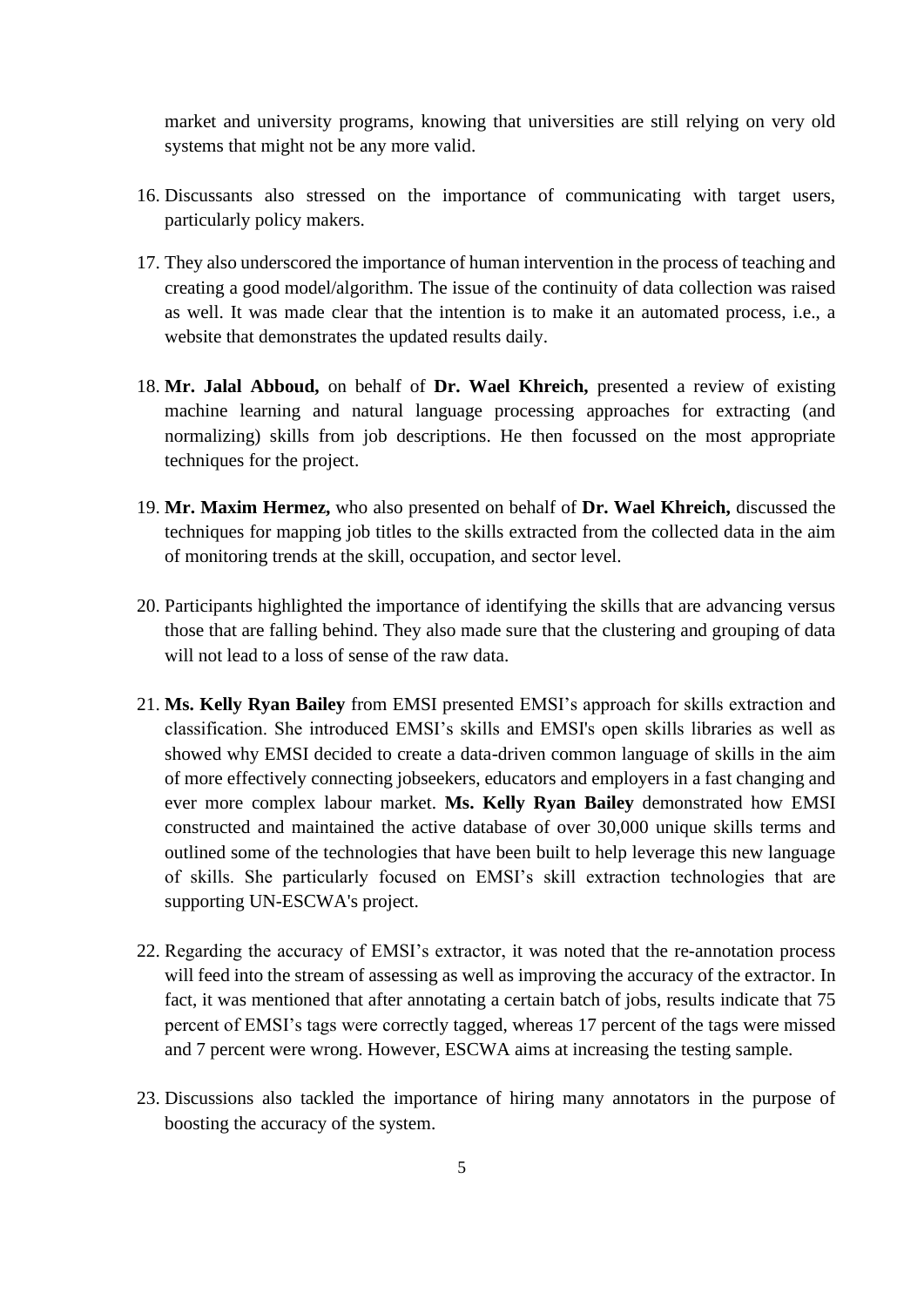market and university programs, knowing that universities are still relying on very old systems that might not be any more valid.

- 16. Discussants also stressed on the importance of communicating with target users, particularly policy makers.
- 17. They also underscored the importance of human intervention in the process of teaching and creating a good model/algorithm. The issue of the continuity of data collection was raised as well. It was made clear that the intention is to make it an automated process, i.e., a website that demonstrates the updated results daily.
- 18. **Mr. Jalal Abboud,** on behalf of **Dr. Wael Khreich,** presented a review of existing machine learning and natural language processing approaches for extracting (and normalizing) skills from job descriptions. He then focussed on the most appropriate techniques for the project.
- 19. **Mr. Maxim Hermez,** who also presented on behalf of **Dr. Wael Khreich,** discussed the techniques for mapping job titles to the skills extracted from the collected data in the aim of monitoring trends at the skill, occupation, and sector level.
- 20. Participants highlighted the importance of identifying the skills that are advancing versus those that are falling behind. They also made sure that the clustering and grouping of data will not lead to a loss of sense of the raw data.
- 21. **Ms. Kelly Ryan Bailey** from EMSI presented EMSI's approach for skills extraction and classification. She introduced EMSI's skills and EMSI's open skills libraries as well as showed why EMSI decided to create a data-driven common language of skills in the aim of more effectively connecting jobseekers, educators and employers in a fast changing and ever more complex labour market. **Ms. Kelly Ryan Bailey** demonstrated how EMSI constructed and maintained the active database of over 30,000 unique skills terms and outlined some of the technologies that have been built to help leverage this new language of skills. She particularly focused on EMSI's skill extraction technologies that are supporting UN-ESCWA's project.
- 22. Regarding the accuracy of EMSI's extractor, it was noted that the re-annotation process will feed into the stream of assessing as well as improving the accuracy of the extractor. In fact, it was mentioned that after annotating a certain batch of jobs, results indicate that 75 percent of EMSI's tags were correctly tagged, whereas 17 percent of the tags were missed and 7 percent were wrong. However, ESCWA aims at increasing the testing sample.
- 23. Discussions also tackled the importance of hiring many annotators in the purpose of boosting the accuracy of the system.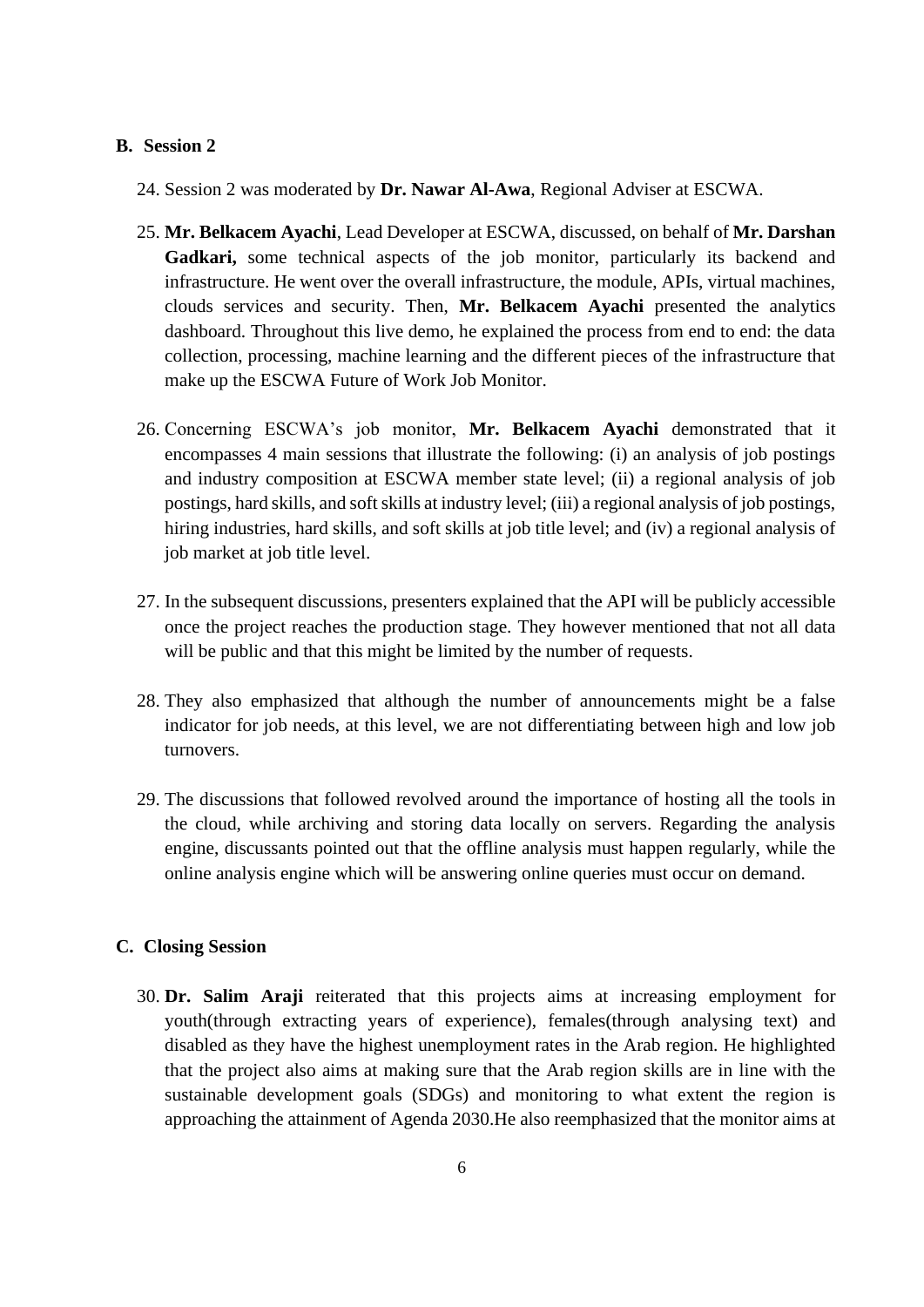## **B. Session 2**

- 24. Session 2 was moderated by **Dr. Nawar Al-Awa**, Regional Adviser at ESCWA.
- 25. **Mr. Belkacem Ayachi**, Lead Developer at ESCWA, discussed, on behalf of **Mr. Darshan Gadkari,** some technical aspects of the job monitor, particularly its backend and infrastructure. He went over the overall infrastructure, the module, APIs, virtual machines, clouds services and security. Then, **Mr. Belkacem Ayachi** presented the analytics dashboard. Throughout this live demo, he explained the process from end to end: the data collection, processing, machine learning and the different pieces of the infrastructure that make up the ESCWA Future of Work Job Monitor.
- 26. Concerning ESCWA's job monitor, **Mr. Belkacem Ayachi** demonstrated that it encompasses 4 main sessions that illustrate the following: (i) an analysis of job postings and industry composition at ESCWA member state level; (ii) a regional analysis of job postings, hard skills, and soft skills at industry level; (iii) a regional analysis of job postings, hiring industries, hard skills, and soft skills at job title level; and (iv) a regional analysis of job market at job title level.
- 27. In the subsequent discussions, presenters explained that the API will be publicly accessible once the project reaches the production stage. They however mentioned that not all data will be public and that this might be limited by the number of requests.
- 28. They also emphasized that although the number of announcements might be a false indicator for job needs, at this level, we are not differentiating between high and low job turnovers.
- 29. The discussions that followed revolved around the importance of hosting all the tools in the cloud, while archiving and storing data locally on servers. Regarding the analysis engine, discussants pointed out that the offline analysis must happen regularly, while the online analysis engine which will be answering online queries must occur on demand.

## **C. Closing Session**

30. **Dr. Salim Araji** reiterated that this projects aims at increasing employment for youth(through extracting years of experience), females(through analysing text) and disabled as they have the highest unemployment rates in the Arab region. He highlighted that the project also aims at making sure that the Arab region skills are in line with the sustainable development goals (SDGs) and monitoring to what extent the region is approaching the attainment of Agenda 2030.He also reemphasized that the monitor aims at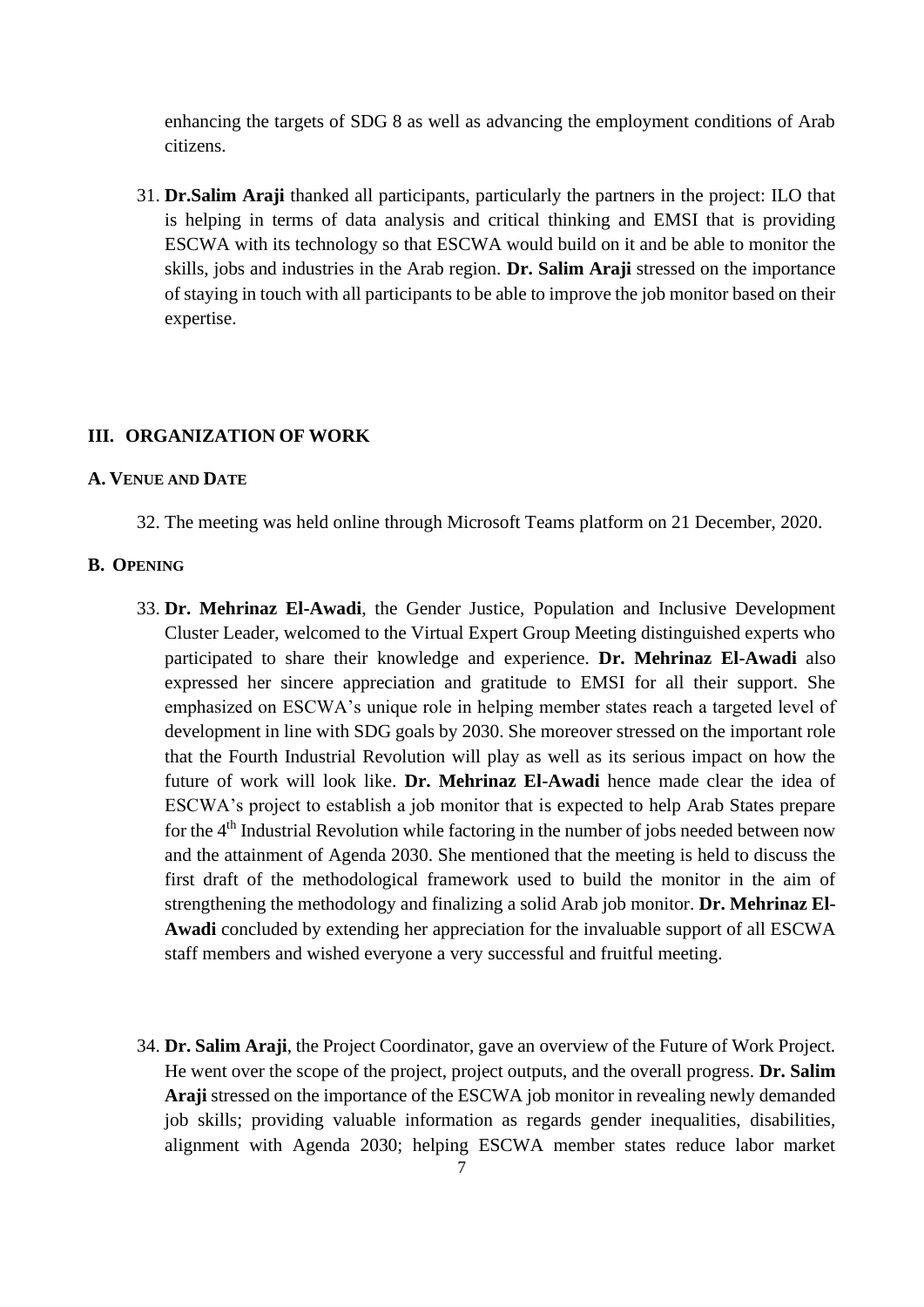enhancing the targets of SDG 8 as well as advancing the employment conditions of Arab citizens.

31. **Dr.Salim Araji** thanked all participants, particularly the partners in the project: ILO that is helping in terms of data analysis and critical thinking and EMSI that is providing ESCWA with its technology so that ESCWA would build on it and be able to monitor the skills, jobs and industries in the Arab region. **Dr. Salim Araji** stressed on the importance of staying in touch with all participants to be able to improve the job monitor based on their expertise.

#### <span id="page-6-0"></span>**III. ORGANIZATION OF WORK**

#### **A. VENUE AND DATE**

32. The meeting was held online through Microsoft Teams platform on 21 December, 2020.

#### **B. OPENING**

- 33. **Dr. Mehrinaz El-Awadi**, the Gender Justice, Population and Inclusive Development Cluster Leader, welcomed to the Virtual Expert Group Meeting distinguished experts who participated to share their knowledge and experience. **Dr. Mehrinaz El-Awadi** also expressed her sincere appreciation and gratitude to EMSI for all their support. She emphasized on ESCWA's unique role in helping member states reach a targeted level of development in line with SDG goals by 2030. She moreover stressed on the important role that the Fourth Industrial Revolution will play as well as its serious impact on how the future of work will look like. **Dr. Mehrinaz El-Awadi** hence made clear the idea of ESCWA's project to establish a job monitor that is expected to help Arab States prepare for the 4<sup>th</sup> Industrial Revolution while factoring in the number of jobs needed between now and the attainment of Agenda 2030. She mentioned that the meeting is held to discuss the first draft of the methodological framework used to build the monitor in the aim of strengthening the methodology and finalizing a solid Arab job monitor. **Dr. Mehrinaz El-Awadi** concluded by extending her appreciation for the invaluable support of all ESCWA staff members and wished everyone a very successful and fruitful meeting.
- 34. **Dr. Salim Araji**, the Project Coordinator, gave an overview of the Future of Work Project. He went over the scope of the project, project outputs, and the overall progress. **Dr. Salim Araji** stressed on the importance of the ESCWA job monitor in revealing newly demanded job skills; providing valuable information as regards gender inequalities, disabilities, alignment with Agenda 2030; helping ESCWA member states reduce labor market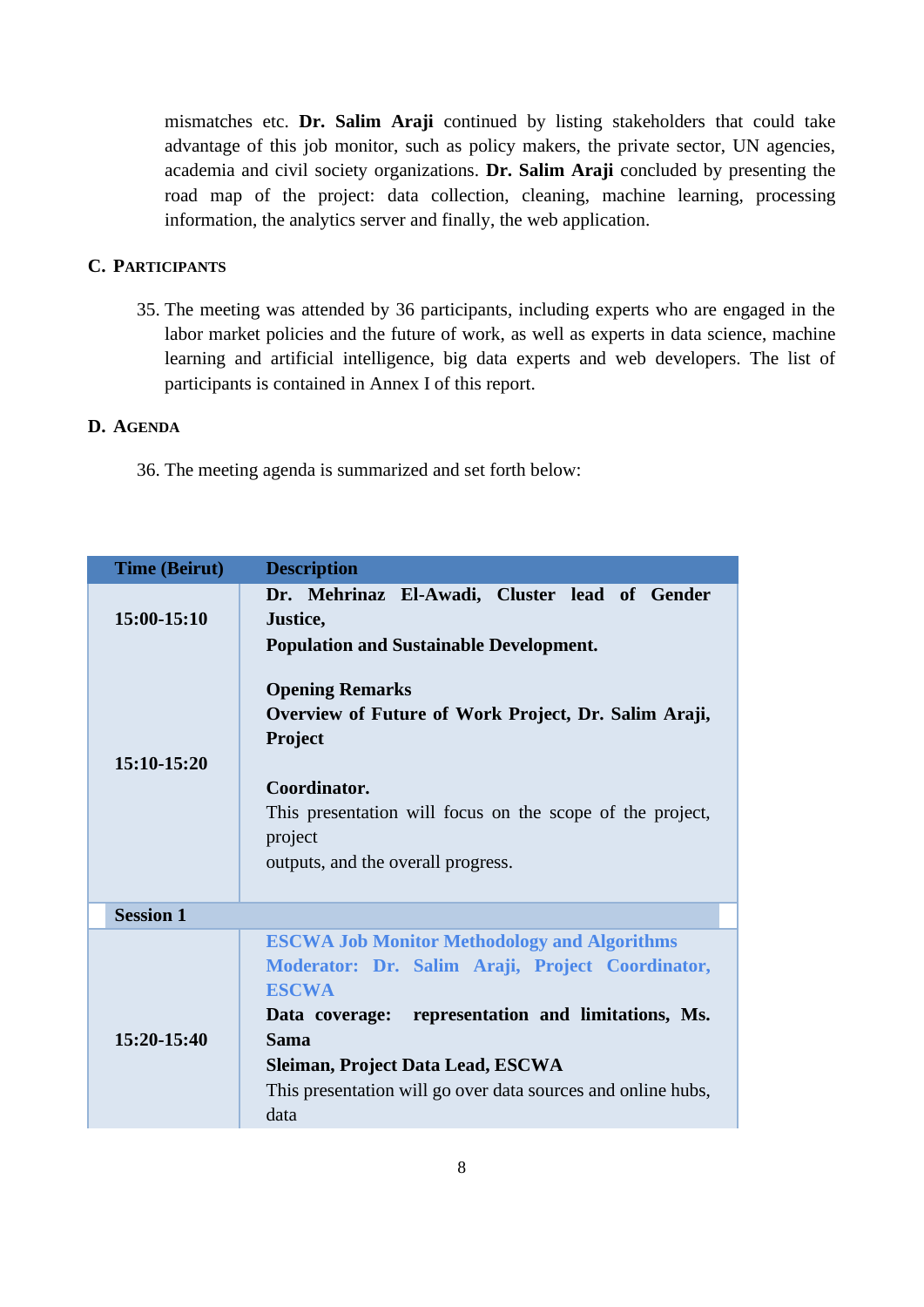mismatches etc. **Dr. Salim Araji** continued by listing stakeholders that could take advantage of this job monitor, such as policy makers, the private sector, UN agencies, academia and civil society organizations. **Dr. Salim Araji** concluded by presenting the road map of the project: data collection, cleaning, machine learning, processing information, the analytics server and finally, the web application.

# **C. PARTICIPANTS**

35. The meeting was attended by 36 participants, including experts who are engaged in the labor market policies and the future of work, as well as experts in data science, machine learning and artificial intelligence, big data experts and web developers. The list of participants is contained in Annex I of this report.

### <span id="page-7-0"></span>**D. AGENDA**

36. The meeting agenda is summarized and set forth below:

| <b>Time (Beirut)</b> | <b>Description</b>                                                                                                                                                                                                                                                                                        |
|----------------------|-----------------------------------------------------------------------------------------------------------------------------------------------------------------------------------------------------------------------------------------------------------------------------------------------------------|
| 15:00-15:10          | Dr. Mehrinaz El-Awadi, Cluster lead of Gender<br>Justice,<br><b>Population and Sustainable Development.</b>                                                                                                                                                                                               |
| 15:10-15:20          | <b>Opening Remarks</b><br>Overview of Future of Work Project, Dr. Salim Araji,<br>Project                                                                                                                                                                                                                 |
|                      | Coordinator.<br>This presentation will focus on the scope of the project,<br>project<br>outputs, and the overall progress.                                                                                                                                                                                |
| <b>Session 1</b>     |                                                                                                                                                                                                                                                                                                           |
| $15:20-15:40$        | <b>ESCWA Job Monitor Methodology and Algorithms</b><br>Moderator: Dr. Salim Araji, Project Coordinator,<br><b>ESCWA</b><br>Data coverage: representation and limitations, Ms.<br><b>Sama</b><br>Sleiman, Project Data Lead, ESCWA<br>This presentation will go over data sources and online hubs,<br>data |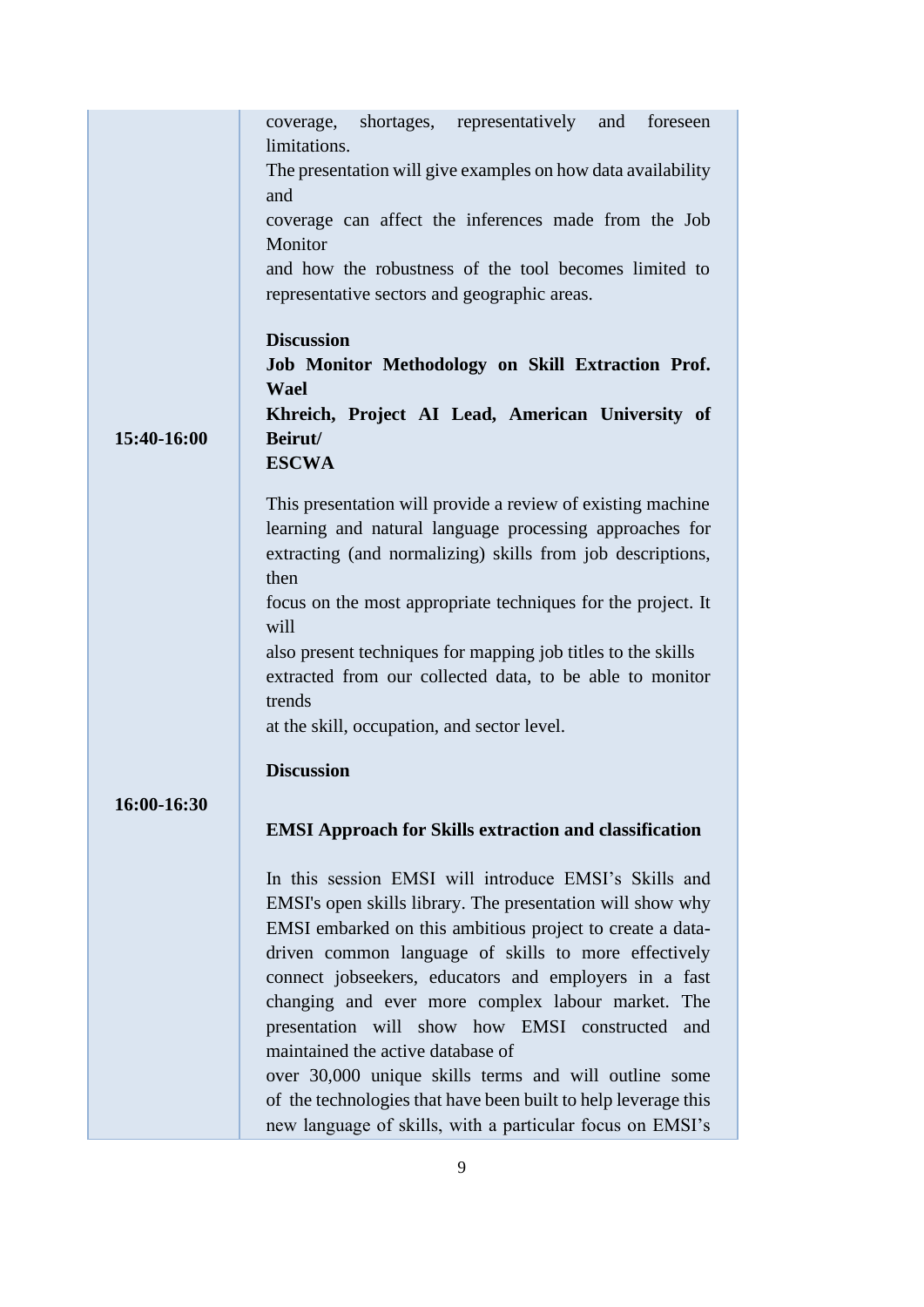|             | coverage, shortages, representatively<br>and foreseen              |  |  |
|-------------|--------------------------------------------------------------------|--|--|
|             | limitations.                                                       |  |  |
|             | The presentation will give examples on how data availability       |  |  |
|             | and                                                                |  |  |
|             | coverage can affect the inferences made from the Job               |  |  |
|             | Monitor                                                            |  |  |
|             | and how the robustness of the tool becomes limited to              |  |  |
|             | representative sectors and geographic areas.                       |  |  |
|             | <b>Discussion</b>                                                  |  |  |
|             | Job Monitor Methodology on Skill Extraction Prof.                  |  |  |
|             | <b>Wael</b>                                                        |  |  |
|             | Khreich, Project AI Lead, American University of                   |  |  |
| 15:40-16:00 | Beirut/                                                            |  |  |
|             | <b>ESCWA</b>                                                       |  |  |
|             |                                                                    |  |  |
|             | This presentation will provide a review of existing machine        |  |  |
|             | learning and natural language processing approaches for            |  |  |
|             | extracting (and normalizing) skills from job descriptions,<br>then |  |  |
|             | focus on the most appropriate techniques for the project. It       |  |  |
|             | will                                                               |  |  |
|             | also present techniques for mapping job titles to the skills       |  |  |
|             | extracted from our collected data, to be able to monitor           |  |  |
|             | trends                                                             |  |  |
|             | at the skill, occupation, and sector level.                        |  |  |
|             | <b>Discussion</b>                                                  |  |  |
|             |                                                                    |  |  |
| 16:00-16:30 |                                                                    |  |  |
|             | <b>EMSI Approach for Skills extraction and classification</b>      |  |  |
|             | In this session EMSI will introduce EMSI's Skills and              |  |  |
|             | EMSI's open skills library. The presentation will show why         |  |  |
|             | EMSI embarked on this ambitious project to create a data-          |  |  |
|             | driven common language of skills to more effectively               |  |  |
|             | connect jobseekers, educators and employers in a fast              |  |  |
|             | changing and ever more complex labour market. The                  |  |  |
|             | presentation will show how EMSI constructed and                    |  |  |
|             | maintained the active database of                                  |  |  |
|             | over 30,000 unique skills terms and will outline some              |  |  |
|             | of the technologies that have been built to help leverage this     |  |  |
|             | new language of skills, with a particular focus on EMSI's          |  |  |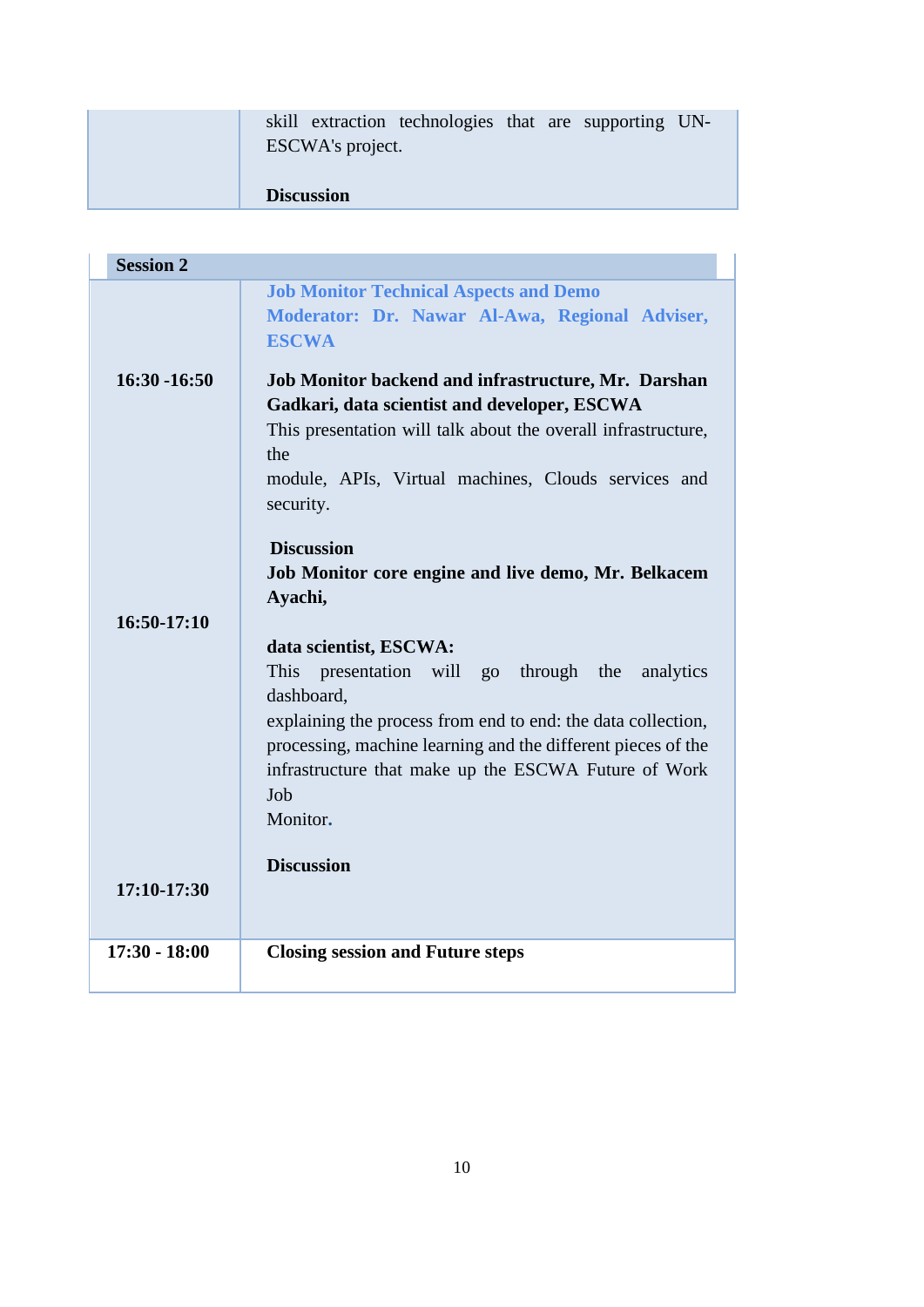|  |                   | skill extraction technologies that are supporting UN- |  |  |
|--|-------------------|-------------------------------------------------------|--|--|
|  | ESCWA's project.  |                                                       |  |  |
|  |                   |                                                       |  |  |
|  | <b>Discussion</b> |                                                       |  |  |

| <b>Session 2</b> |                                                                                                                                                                                                                                                                                                                     |
|------------------|---------------------------------------------------------------------------------------------------------------------------------------------------------------------------------------------------------------------------------------------------------------------------------------------------------------------|
|                  | <b>Job Monitor Technical Aspects and Demo</b><br>Moderator: Dr. Nawar Al-Awa, Regional Adviser,<br><b>ESCWA</b>                                                                                                                                                                                                     |
| $16:30 - 16:50$  | Job Monitor backend and infrastructure, Mr. Darshan<br>Gadkari, data scientist and developer, ESCWA<br>This presentation will talk about the overall infrastructure,<br>the<br>module, APIs, Virtual machines, Clouds services and<br>security.                                                                     |
| $16:50-17:10$    | <b>Discussion</b><br>Job Monitor core engine and live demo, Mr. Belkacem<br>Ayachi,                                                                                                                                                                                                                                 |
|                  | data scientist, ESCWA:<br>This<br>presentation will<br>through the<br>analytics<br>$g_{O}$<br>dashboard,<br>explaining the process from end to end: the data collection,<br>processing, machine learning and the different pieces of the<br>infrastructure that make up the ESCWA Future of Work<br>Job<br>Monitor. |
| 17:10-17:30      | <b>Discussion</b>                                                                                                                                                                                                                                                                                                   |
| $17:30 - 18:00$  | <b>Closing session and Future steps</b>                                                                                                                                                                                                                                                                             |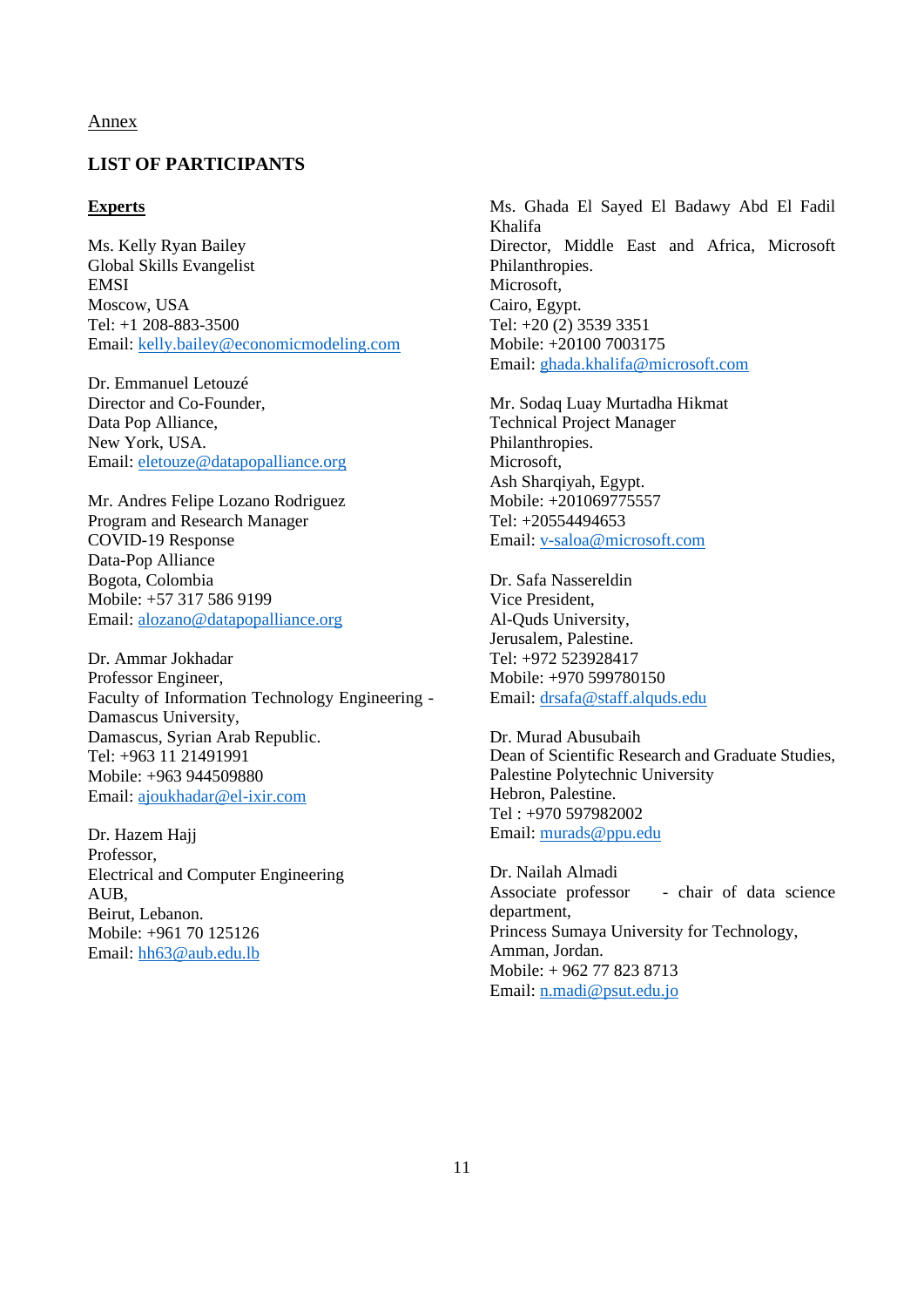#### Annex

# <span id="page-10-0"></span>**LIST OF PARTICIPANTS**

#### **Experts**

Ms. Kelly Ryan Bailey Global Skills Evangelist **EMSI** Moscow, USA Tel: +1 208-883-3500 Email: [kelly.bailey@economicmodeling.com](mailto:kelly.bailey@economicmodeling.com)

Dr. Emmanuel Letouzé Director and Co-Founder, Data Pop Alliance, New York, USA. Email: [eletouze@datapopalliance.org](mailto:eletouze@datapopalliance.org)

Mr. Andres Felipe Lozano Rodriguez Program and Research Manager COVID-19 Response Data-Pop Alliance Bogota, Colombia Mobile: +57 317 586 9199 Email: [alozano@datapopalliance.org](mailto:alozano@datapopalliance.org)

Dr. Ammar Jokhadar Professor Engineer, Faculty of Information Technology Engineering - Damascus University, Damascus, Syrian Arab Republic. Tel: +963 11 21491991 Mobile: +963 944509880 Email: [ajoukhadar@el-ixir.com](mailto:ajoukhadar@el-ixir.com)

Dr. Hazem Hajj Professor, Electrical and Computer Engineering AUB, Beirut, Lebanon. Mobile: +961 70 125126 Email: [hh63@aub.edu.lb](mailto:hh63@aub.edu.lb)

Ms. Ghada El Sayed El Badawy Abd El Fadil Khalifa Director, Middle East and Africa, Microsoft Philanthropies. Microsoft, Cairo, Egypt. Tel: +20 (2) 3539 3351 Mobile: +20100 7003175 Email[: ghada.khalifa@microsoft.com](mailto:ghada.khalifa@microsoft.com)

Mr. Sodaq Luay Murtadha Hikmat Technical Project Manager Philanthropies. Microsoft, Ash Sharqiyah, Egypt. Mobile: +201069775557 Tel: +20554494653 Email[: v-saloa@microsoft.com](mailto:v-saloa@microsoft.com)

Dr. Safa Nassereldin Vice President, Al-Quds University, Jerusalem, Palestine. Tel: +972 523928417 Mobile: +970 599780150 Email[: drsafa@staff.alquds.edu](mailto:drsafa@staff.alquds.edu)

Dr. Murad Abusubaih Dean of Scientific Research and Graduate Studies, Palestine Polytechnic University Hebron, Palestine. Tel : +970 597982002 Email: [murads@ppu.edu](mailto:murads@ppu.edu)

Dr. Nailah Almadi Associate professor - chair of data science department, Princess Sumaya University for Technology, Amman, Jordan. Mobile: + 962 77 823 8713 Email: [n.madi@psut.edu.jo](mailto:n.madi@psut.edu.jo)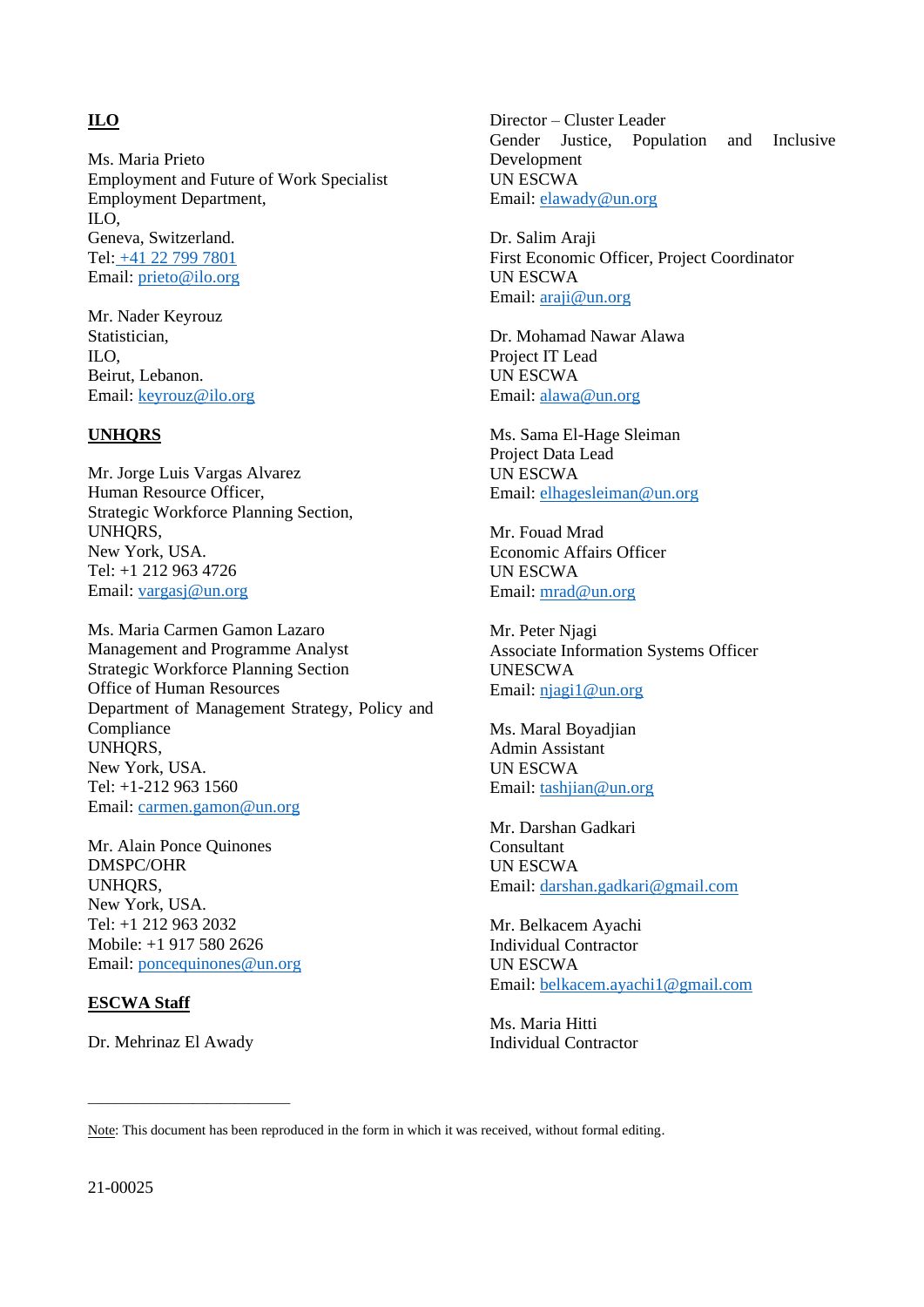# **ILO**

Ms. Maria Prieto Employment and Future of Work Specialist Employment Department, ILO, Geneva, Switzerland. Tel: +41 22 799 7801 Email: [prieto@ilo.org](mailto:prieto@ilo.org)

Mr. Nader Keyrouz Statistician, ILO, Beirut, Lebanon. Email: [keyrouz@ilo.org](mailto:keyrouz@ilo.org)

#### **UNHQRS**

Mr. Jorge Luis Vargas Alvarez Human Resource Officer, Strategic Workforce Planning Section, UNHQRS, New York, USA. Tel: +1 212 963 4726 Email: [vargasj@un.org](mailto:vargasj@un.org)

Ms. Maria Carmen Gamon Lazaro Management and Programme Analyst Strategic Workforce Planning Section Office of Human Resources Department of Management Strategy, Policy and Compliance UNHORS, New York, USA. Tel: +1-212 963 1560 Email: [carmen.gamon@un.org](mailto:carmen.gamon@un.org)

Mr. Alain Ponce Quinones DMSPC/OHR UNHORS. New York, USA. Tel: +1 212 963 2032 Mobile: +1 917 580 2626 Email: [poncequinones@un.org](mailto:poncequinones@un.org)

#### **ESCWA Staff**

Dr. Mehrinaz El Awady

\_\_\_\_\_\_\_\_\_\_\_\_\_\_\_\_\_\_\_\_\_\_\_\_\_\_\_\_\_

Director – Cluster Leader Gender Justice, Population and Inclusive Development UN ESCWA Email[: elawady@un.org](mailto:elawady@un.org)

Dr. Salim Araji First Economic Officer, Project Coordinator UN ESCWA Email[: araji@un.org](mailto:araji@un.org)

Dr. Mohamad Nawar Alawa Project IT Lead UN ESCWA Email[: alawa@un.org](mailto:alawa@un.org)

Ms. Sama El-Hage Sleiman Project Data Lead UN ESCWA Email[: elhagesleiman@un.org](mailto:elhagesleiman@un.org)

Mr. Fouad Mrad Economic Affairs Officer UN ESCWA Email[: mrad@un.org](mailto:mrad@un.org)

Mr. Peter Njagi Associate Information Systems Officer UNESCWA Email[: njagi1@un.org](mailto:njagi1@un.org)

Ms. Maral Boyadjian Admin Assistant UN ESCWA Email[: tashjian@un.org](mailto:tashjian@un.org)

Mr. Darshan Gadkari Consultant UN ESCWA Email[: darshan.gadkari@gmail.com](mailto:darshan.gadkari@gmail.com)

Mr. Belkacem Ayachi Individual Contractor UN ESCWA Email[: belkacem.ayachi1@gmail.com](mailto:belkacem.ayachi1@gmail.com)

Ms. Maria Hitti Individual Contractor

Note: This document has been reproduced in the form in which it was received, without formal editing.